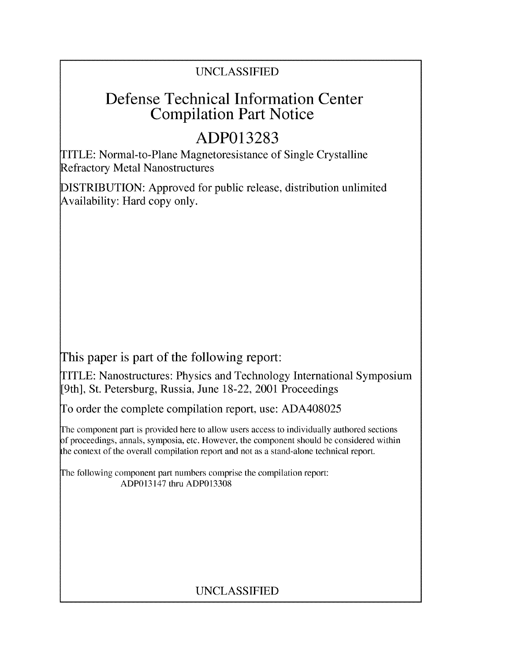## UNCLASSIFIED

# Defense Technical Information Center Compilation Part Notice

# **ADP013283**

TITLE: Normal-to-Plane Magnetoresistance of Single Crystalline Refractory Metal Nanostructures

DISTRIBUTION: Approved for public release, distribution unlimited Availability: Hard copy only.

This paper is part of the following report:

TITLE: Nanostructures: Physics and Technology International Symposium [9th], St. Petersburg, Russia, June 18-22, 2001 Proceedings

To order the complete compilation report, use: ADA408025

The component part is provided here to allow users access to individually authored sections f proceedings, annals, symposia, etc. However, the component should be considered within the context of the overall compilation report and not as a stand-alone technical report.

The following component part numbers comprise the compilation report: ADP013147 thru ADP013308

## UNCLASSIFIED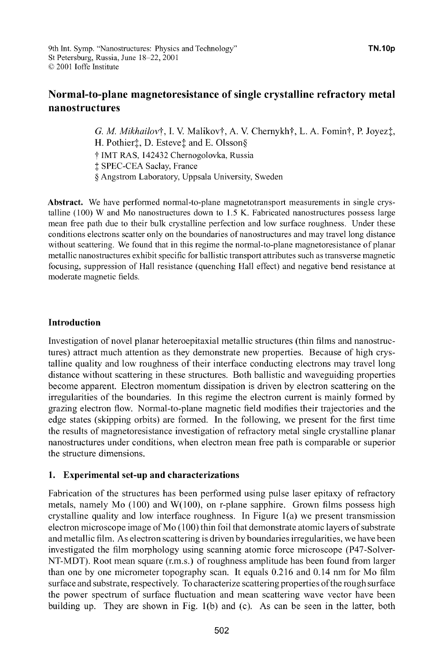### Normal-to-plane magnetoresistance of single crystalline refractory metal nanostructures

*G. M. Mikhailovi*, I. V. Malikovi, A. V. Chernykhi, L. A. Fomini, P. Joyezi, H. Pothier<sup>†</sup>, D. Esteve<sup>†</sup> and E. Olsson§ t IMT RAS, 142432 Chernogolovka, Russia **I** SPEC-CEA Saclay, France **§** Angstrom Laboratory, Uppsala University, Sweden

Abstract. We have performed normal-to-plane magnetotransport measurements in single crystalline (100) W and Mo nanostructures down to 1.5 K. Fabricated nanostructures possess large mean free path due to their bulk crystalline perfection and low surface roughness. Under these conditions electrons scatter only on the boundaries of nanostructures and may travel long distance without scattering. We found that in this regime the normal-to-plane magnetoresistance of planar metallic nanostructures exhibit specific for ballistic transport attributes such as transverse magnetic focusing, suppression of Hall resistance (quenching Hall effect) and negative bend resistance at moderate magnetic fields.

#### Introduction

Investigation of novel planar heteroepitaxial metallic structures (thin films and nanostructures) attract much attention as they demonstrate new properties. Because of high crystalline quality and low roughness of their interface conducting electrons may travel long distance without scattering in these structures. Both ballistic and waveguiding properties become apparent. Electron momentum dissipation is driven by electron scattering on the irregularities of the boundaries. In this regime the electron current is mainly formed by grazing electron flow. Normal-to-plane magnetic field modifies their trajectories and the edge states (skipping orbits) are formed. In the following, we present for the first time the results of magnetoresistance investigation of refractory metal single crystalline planar nanostructures under conditions, when electron mean free path is comparable or superior the structure dimensions.

#### 1. Experimental set-up and characterizations

Fabrication of the structures has been performed using pulse laser epitaxy of refractory metals, namely Mo  $(100)$  and W $(100)$ , on r-plane sapphire. Grown films possess high crystalline quality and low interface roughness. In Figure  $1(a)$  we present transmission electron microscope image of Mo (100) thin foil that demonstrate atomic layers of substrate and metallic film. As electron scattering is driven by boundaries irregularities, we have been investigated the film morphology using scanning atomic force microscope (P47-Solver-NT-MDT). Root mean square (r.m.s.) of roughness amplitude has been found from larger than one by one micrometer topography scan. It equals 0.216 and 0.14 nm for Mo film surface and substrate, respectively. To characterize scattering properties of the rough surface the power spectrum of surface fluctuation and mean scattering wave vector have been building up. They are shown in Fig. 1(b) and (c). As can be seen in the latter, both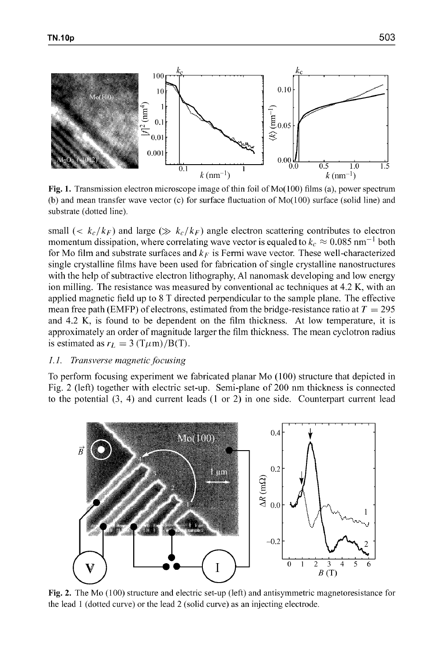

Fig. 1. Transmission electron microscope image of thin foil of  $Mo(100)$  films (a), power spectrum (b) and mean transfer wave vector (c) for surface fluctuation of  $Mo(100)$  surface (solid line) and substrate (dotted line).

small (<  $k_c/k_F$ ) and large ( $\gg k_c/k_F$ ) angle electron scattering contributes to electron momentum dissipation, where correlating wave vector is equaled to  $k_c \approx 0.085$  nm<sup>-1</sup> both for Mo film and substrate surfaces and  $k_F$  is Fermi wave vector. These well-characterized single crystalline films have been used for fabrication of single crystalline nanostructures with the help of subtractive electron lithography, **Al** nanomask developing and low energy ion milling. The resistance was measured by conventional ac techniques at 4.2 K, with an applied magnetic field up to 8 T directed perpendicular to the sample plane. The effective mean free path (EMFP) of electrons, estimated from the bridge-resistance ratio at  $T = 295$ and 4.2 K, is found to be dependent on the film thickness. At low temperature, it is approximately an order of magnitude larger the film thickness. The mean cyclotron radius is estimated as  $r_L = 3 \frac{(\text{T}\mu\text{m})}{\text{B(T)}}$ .

#### *1.]. Transverse mnagnetic focusing*

To perform focusing experiment we fabricated planar Mo (100) structure that depicted in Fig. 2 (left) together with electric set-up. Semi-plane of 200 nm thickness is connected to the potential (3, 4) and current leads (1 or 2) in one side. Counterpart current lead



Fig. **2.** The Mo (100) structure and electric set-up (left) and antisymmetric magnetoresistance for the lead 1 (dotted curve) or the lead 2 (solid curve) as an injecting electrode.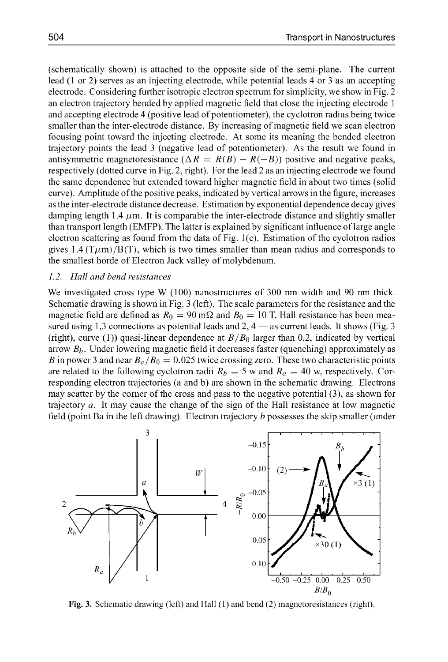(schematically shown) is attached to the opposite side of the semi-plane. The current lead (1 or 2) serves as an injecting electrode, while potential leads 4 or 3 as an accepting electrode. Considering further isotropic electron spectrum for simplicity, we show in Fig. 2 an electron trajectory bended by applied magnetic field that close the injecting electrode 1 and accepting electrode 4 (positive lead of potentiometer), the cyclotron radius being twice smaller than the inter-electrode distance. By increasing of magnetic field we scan electron focusing point toward the injecting electrode. At some its meaning the bended electron trajectory points the lead 3 (negative lead of potentiometer). As the result we found in antisymmetric magnetoresistance  $(\Delta R = R(B) - R(-B))$  positive and negative peaks, respectively (dotted curve in Fig. 2, right). For the lead 2 as an injecting electrode we found the same dependence but extended toward higher magnetic field in about two times (solid curve). Amplitude of the positive peaks, indicated by vertical arrows in the figure, increases as the inter-electrode distance decrease. Estimation by exponential dependence decay gives damping length 1.4  $\mu$ m. It is comparable the inter-electrode distance and slightly smaller than transport length (EMFP). The latter is explained by significant influence of large angle electron scattering as found from the data of Fig. 1 (c). Estimation of the cyclotron radios gives 1.4 ( $T\mu$ m)/B(T), which is two times smaller than mean radius and corresponds to the smallest horde of Electron Jack valley of molybdenum.

#### *1.2. Hall and bend resistances*

We investigated cross type W (100) nanostructures of 300 nm width and 90 nm thick. Schematic drawing is shown in Fig. 3 (left). The scale parameters for the resistance and the magnetic field are defined as  $R_0 = 90 \text{ m}\Omega$  and  $B_0 = 10 \text{ T}$ . Hall resistance has been measured using 1,3 connections as potential leads and 2, 4 — as current leads. It shows (Fig. 3) (right), curve (1)) quasi-linear dependence at  $B/B<sub>0</sub>$  larger than 0.2, indicated by vertical arrow  $B_b$ . Under lowering magnetic field it decreases faster (quenching) approximately as *B* in power 3 and near  $B_a/B_0 = 0.025$  twice crossing zero. These two characteristic points are related to the following cyclotron radii  $R_b = 5$  w and  $R_a = 40$  w, respectively. Corresponding electron trajectories (a and b) are shown in the schematic drawing. Electrons may scatter by the corner of the cross and pass to the negative potential (3), as shown for trajectory a. It may cause the change of the sign of the Hall resistance at low magnetic field (point Ba in the left drawing). Electron trajectory **b** possesses the skip smaller (under



**Fig.** 3. Schematic drawing (left) and Hall (1) and bend (2) magnetoresistances (right).